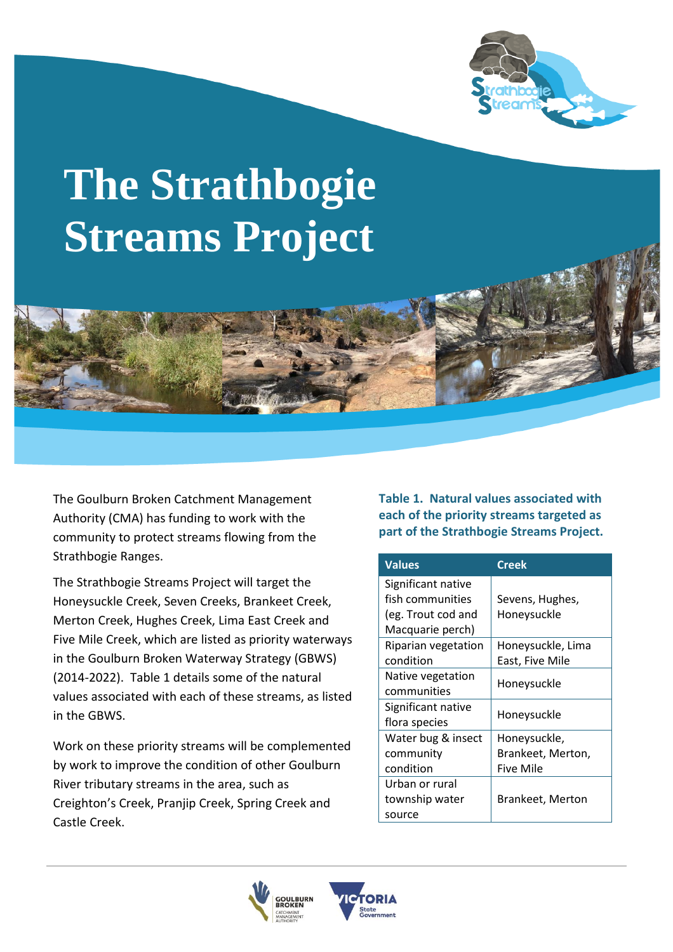

# **The Strathbogie Streams Project**

The Goulburn Broken Catchment Management Authority (CMA) has funding to work with the community to protect streams flowing from the Strathbogie Ranges.

The Strathbogie Streams Project will target the Honeysuckle Creek, Seven Creeks, Brankeet Creek, Merton Creek, Hughes Creek, Lima East Creek and Five Mile Creek, which are listed as priority waterways in the Goulburn Broken Waterway Strategy (GBWS) (2014-2022). Table 1 details some of the natural values associated with each of these streams, as listed in the GBWS.

Work on these priority streams will be complemented by work to improve the condition of other Goulburn River tributary streams in the area, such as Creighton's Creek, Pranjip Creek, Spring Creek and Castle Creek.

**Table 1. Natural values associated with each of the priority streams targeted as part of the Strathbogie Streams Project.**

| <b>Values</b>       | <b>Creek</b>            |
|---------------------|-------------------------|
| Significant native  |                         |
| fish communities    | Sevens, Hughes,         |
| (eg. Trout cod and  | Honeysuckle             |
| Macquarie perch)    |                         |
| Riparian vegetation | Honeysuckle, Lima       |
| condition           | East, Five Mile         |
| Native vegetation   | Honeysuckle             |
| communities         |                         |
| Significant native  | Honeysuckle             |
| flora species       |                         |
| Water bug & insect  | Honeysuckle,            |
| community           | Brankeet, Merton,       |
| condition           | <b>Five Mile</b>        |
| Urban or rural      |                         |
| township water      | <b>Brankeet, Merton</b> |
| source              |                         |